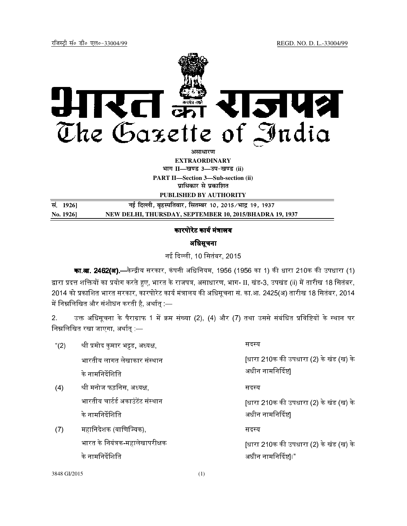

**EXTRAORDINARY**

**Hkkx II—[k.M 3—mi&[k.M (ii)**

**PART II—Section 3—Sub-section (ii) प्राधिकार से प्रकाशित** 

**PUBLISHED BY AUTHORITY**

<u>सं. 1926]</u> बई दिल्ली, बृहस्पतिवार, सितम्बर 10, 2015/भाद्र 19, 1937 **No. 1926] NEW DELHI, THURSDAY, SEPTEMBER 10, 2015/BHADRA 19, 1937**

## कारपोरेट कार्य मंत्रालय

## अधिसूचना

नई दली, 10 िसतंबर, 2015

का.**आ. 2462(अ).—**केन्द्रीय सरकार, कंपनी अधिनियम, 1956 (1956 का 1) की धारा 210क की उपधारा (1) द्वारा प्रदत्त शक्तियों का प्रयोग करते हुए, भारत के राजपत्र, असाधारण, भाग- II, खंड-3, उपखंड (ii) में तारीख 18 सितंबर, 2014 को प्रकाशित भारत सरकार, कारपोरेट कार्य मंत्रालय की अधिसूचना सं. का.आ. 2425(अ) तारीख 18 सितंबर, 2014 में निम्नलिखित और संशोधन करती है, अर्थात् :—

2. उक्त अधिसूचना के पैराग्राफ 1 में क्रम संख्या (2), (4) और (7) तथा उससे संबंधित प्रविष्टियों के स्थान पर निम्नलिखित रखा जाएगा, अर्थात् :—

| " $(2)$ | श्री प्रमोद कुमार भट्टड, अध्यक्ष, | सदस्य                                  |
|---------|-----------------------------------|----------------------------------------|
|         | भारतीय लागत लेखाकार संस्थान       | [धारा 210क की उपधारा (2) के खंड (ख) के |
|         | के नामनिर्देशिति                  | अधीन नामनिर्दिष्ट                      |
| (4)     | श्री मनोज फड़निस, अध्यक्ष,        | सदस्य                                  |
|         | भारतीय चार्टर्ड अकाउंटेंट संस्थान | [धारा 210क की उपधारा (2) के खंड (ख) के |
|         | के नामनिर्देशिति                  | अधीन नामनिर्दिष्ट                      |
| (7)     | महानिदेशक (वाणिज्यिक),            | सदस्य                                  |
|         | भारत के नियंत्रक-महालेखापरीक्षक   | [धारा 210क की उपधारा (2) के खंड (ख) के |
|         | के नामनिर्देशिति                  | अधीन नामनिर्दिष्ट।।"                   |